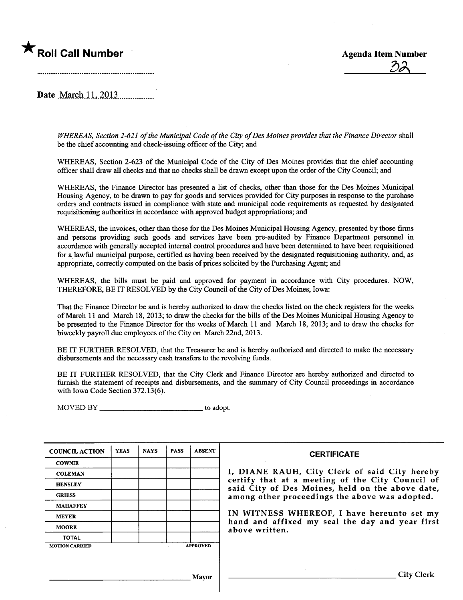# \* Roll Call Number Agenda Item Number

<u> II</u>

Date March 11, 2013

WHEREAS, Section 2-621 of the Municipal Code of the City of Des Moines provides that the Finance Director shall be the chief accounting and check-issuing officer of the City; and

WHEREAS, Section 2-623 of the Municipal Code of the City of Des Moines provides that the chief accounting officer shall draw all checks and that no checks shall be drawn except upon the order of the City Council; and

WHEREAS, the Finace Director has presented a list of checks, other than those for the Des Moines Muncipal Housing Agency, to be drawn to pay for goods and servces provided for City puroses in response to the purchase orders and contracts issued in compliance with state and muncipal code requirements as requested by designated requisitioning authorities in accordance with approved budget appropriations; and

WHEREAS, the invoices, other than those for the Des Moines Municipal Housing Agency, presented by those firms and persons providing such goods and services have been pre-audited by Finance Department personnel in accordance with generally accepted internal control procedures and have been determined to have been requisitioned for a lawful municipal purpose, certified as having been received by the designated requisitioning authority, and, as appropriate, correctly computed on the basis of prices solicited by the Purchasing Agent; and

WHEREAS, the bills must be paid and approved for payment in accordance with City procedures. NOW, THEREFORE, BE IT RESOLVED by the City Council of the City of Des Moines, Iowa:

That the Finance Director be and is hereby authorized to draw the checks listed on the check registers for the weeks of March 11 and March 18,2013; to draw the checks for the bils of the Des Moines Muncipal Housing Agency to be presented to the Finance Director for the weeks of March 11 and March 18,2013; and to draw the checks for biweekly payroll due employees of the City on March 22nd, 2013.

BE IT FURTHER RESOLVED, that the Treasurer be and is hereby authorized and directed to make the necessary disbursements and the necessary cash transfers to the revolving funds.

BE IT FURTHER RESOLVED, that the City Clerk and Finance Director are hereby authorized and directed to furnish the statement of receipts and disbursements, and the summary of City Council proceedings in accordance with Iowa Code Section 372.13(6).

MOVED BY \_\_\_\_\_\_\_\_\_\_\_\_\_\_\_\_\_\_\_\_\_\_\_\_\_\_\_\_\_\_\_\_\_\_ to adopt.

| <b>COUNCIL ACTION</b> | <b>YEAS</b> | <b>NAYS</b> | <b>PASS</b> | <b>ABSENT</b>   | <b>CERTIFICATE</b>                                                                                   |
|-----------------------|-------------|-------------|-------------|-----------------|------------------------------------------------------------------------------------------------------|
| <b>COWNIE</b>         |             |             |             |                 |                                                                                                      |
| <b>COLEMAN</b>        |             |             |             |                 | I, DIANE RAUH, City Clerk of said City hereby                                                        |
| <b>HENSLEY</b>        |             |             |             |                 | certify that at a meeting of the City Council of<br>said City of Des Moines, held on the above date, |
| <b>GRIESS</b>         |             |             |             |                 | among other proceedings the above was adopted.                                                       |
| <b>MAHAFFEY</b>       |             |             |             |                 |                                                                                                      |
| <b>MEYER</b>          |             |             |             |                 | IN WITNESS WHEREOF, I have hereunto set my                                                           |
| <b>MOORE</b>          |             |             |             |                 | hand and affixed my seal the day and year first<br>above written.                                    |
| <b>TOTAL</b>          |             |             |             |                 |                                                                                                      |
| <b>MOTION CARRIED</b> |             |             |             | <b>APPROVED</b> |                                                                                                      |
|                       |             |             |             |                 |                                                                                                      |
|                       |             |             |             | Mayor           | <b>City Clerk</b>                                                                                    |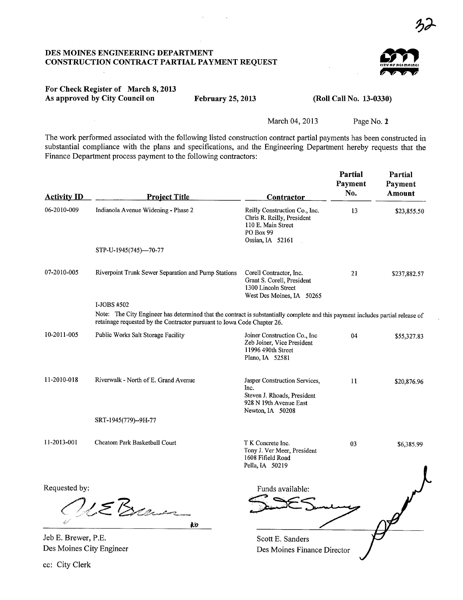## DES MOINES ENGINEERING DEPARTMENT CONSTRUCTION CONTRACT PARTIAL PAYMENT REQUEST



# For Check Register of March 8, 2013 As approved by City Council on

cc: City Clerk

February 25, 2013

#### (Roll Call No. 13-0330)

March 04, 2013

Page No. 2

The work performed associated with the following listed construction contract partial payments has been constructed in substantial compliance with the plans and specifications, and the Engineering Department hereby requests that the Finance Department process payment to the following contractors:

| <b>Activity ID</b>       | <b>Project Title</b>                                                                                                                                                                                                      | Contractor                                                                                                         | Partial<br>Payment<br>No. | Partial<br>Payment<br><b>Amount</b> |
|--------------------------|---------------------------------------------------------------------------------------------------------------------------------------------------------------------------------------------------------------------------|--------------------------------------------------------------------------------------------------------------------|---------------------------|-------------------------------------|
| 06-2010-009              | Indianola Avenue Widening - Phase 2                                                                                                                                                                                       | Reilly Construction Co., Inc.<br>Chris R. Reilly, President<br>110 E. Main Street<br>PO Box 99<br>Ossian, IA 52161 | 13                        | \$23,855.50                         |
|                          | STP-U-1945(745)-70-77                                                                                                                                                                                                     |                                                                                                                    |                           |                                     |
| 07-2010-005              | Riverpoint Trunk Sewer Separation and Pump Stations                                                                                                                                                                       | Corell Contractor, Inc.<br>Grant S. Corell, President<br>1300 Lincoln Street<br>West Des Moines, IA 50265          | 21                        | \$237,882.57                        |
|                          | I-JOBS #502<br>Note: The City Engineer has determined that the contract is substantially complete and this payment includes partial release of<br>retainage requested by the Contractor pursuant to Iowa Code Chapter 26. |                                                                                                                    |                           |                                     |
| 10-2011-005              | Public Works Salt Storage Facility                                                                                                                                                                                        | Joiner Construction Co., Inc<br>Zeb Joiner, Vice President<br>11996 490th Street<br>Plano, IA 52581                | 04                        | \$55,327.83                         |
| 11-2010-018              | Riverwalk - North of E. Grand Avenue                                                                                                                                                                                      | Jasper Construction Services,<br>Inc.<br>Steven J. Rhoads, President<br>928 N 19th Avenue East<br>Newton, IA 50208 | 11                        | \$20,876.96                         |
|                          | SRT-1945(779)--9H-77                                                                                                                                                                                                      |                                                                                                                    |                           |                                     |
| 11-2013-001              | Cheatom Park Basketball Court                                                                                                                                                                                             | T K Concrete Inc.<br>Tony J. Ver Meer, President<br>1608 Fifield Road<br>Pella, IA 50219                           | 03                        | \$6,385.99                          |
| Requested by:            | 1EBran<br>Řб                                                                                                                                                                                                              | Funds available:                                                                                                   |                           |                                     |
| Jeb E. Brewer, P.E.      |                                                                                                                                                                                                                           | Scott E. Sanders                                                                                                   |                           |                                     |
| Des Moines City Engineer |                                                                                                                                                                                                                           | Des Moines Finance Director                                                                                        |                           |                                     |